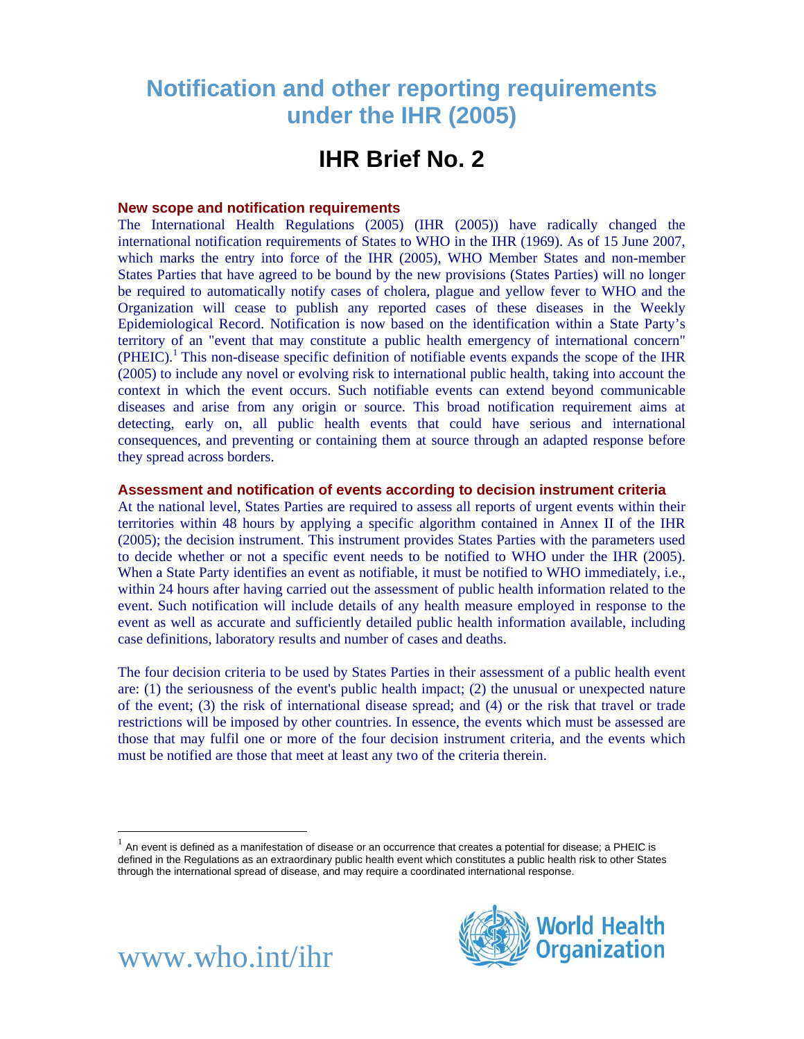# **Notification and other reporting requirements under the IHR (2005)**

## **IHR Brief No. 2**

#### **New scope and notification requirements**

The International Health Regulations (2005) (IHR (2005)) have radically changed the international notification requirements of States to WHO in the IHR (1969). As of 15 June 2007, which marks the entry into force of the IHR (2005), WHO Member States and non-member States Parties that have agreed to be bound by the new provisions (States Parties) will no longer be required to automatically notify cases of cholera, plague and yellow fever to WHO and the Organization will cease to publish any reported cases of these diseases in the [Weekly](http://www.who.int/wer/)  [Epidemiological Record.](http://www.who.int/wer/) Notification is now based on the identification within a State Party's territory of an "event that may constitute a public health emergency of international concern"  $(PHEIC)<sup>1</sup>$  $(PHEIC)<sup>1</sup>$  $(PHEIC)<sup>1</sup>$  This non-disease specific definition of notifiable events expands the scope of the IHR (2005) to include any novel or evolving risk to international public health, taking into account the context in which the event occurs. Such notifiable events can extend beyond communicable diseases and arise from any origin or source. This broad notification requirement aims at detecting, early on, all public health events that could have serious and international consequences, and preventing or containing them at source through an adapted response before they spread across borders.

#### **Assessment and notification of events according to decision instrument criteria**

At the national level, States Parties are required to assess all reports of urgent events within their territories within 48 hours by applying a specific algorithm contained in Annex II of the IHR (2005); the decision instrument. This instrument provides States Parties with the parameters used to decide whether or not a specific event needs to be notified to WHO under the IHR (2005). When a State Party identifies an event as notifiable, it must be notified to WHO immediately, i.e., within 24 hours after having carried out the assessment of public health information related to the event. Such notification will include details of any health measure employed in response to the event as well as accurate and sufficiently detailed public health information available, including case definitions, laboratory results and number of cases and deaths.

The four decision criteria to be used by States Parties in their assessment of a public health event are: (1) the seriousness of the event's public health impact; (2) the unusual or unexpected nature of the event; (3) the risk of international disease spread; and (4) or the risk that travel or trade restrictions will be imposed by other countries. In essence, the events which must be assessed are those that may fulfil one or more of the four decision instrument criteria, and the events which must be notified are those that meet at least any two of the criteria therein.

<span id="page-0-0"></span> $1$  An event is defined as a manifestation of disease or an occurrence that creates a potential for disease; a PHEIC is defined in the Regulations as an extraordinary public health event which constitutes a public health risk to other States through the international spread of disease, and may require a coordinated international response.





 $\overline{a}$